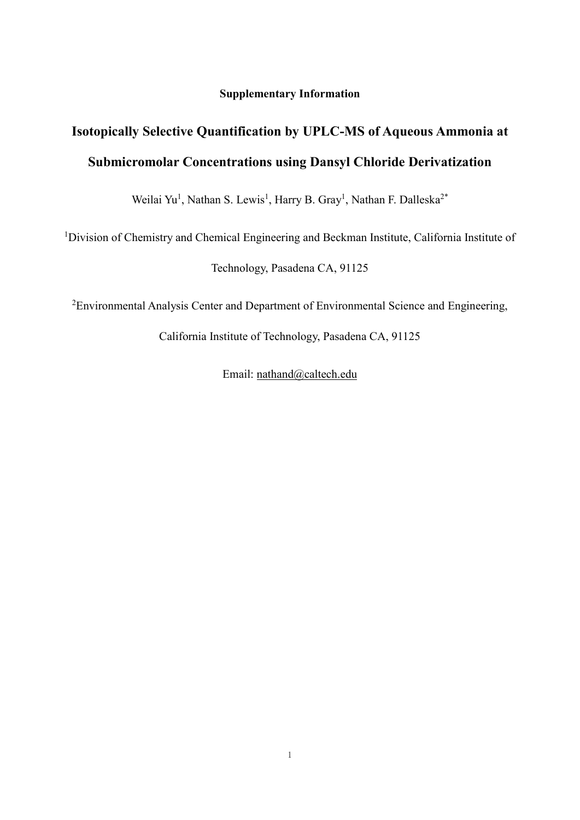**Supplementary Information**

## **Isotopically Selective Quantification by UPLC-MS of Aqueous Ammonia at Submicromolar Concentrations using Dansyl Chloride Derivatization**

Weilai Yu<sup>1</sup>, Nathan S. Lewis<sup>1</sup>, Harry B. Gray<sup>1</sup>, Nathan F. Dalleska<sup>2\*</sup>

<sup>1</sup>Division of Chemistry and Chemical Engineering and Beckman Institute, California Institute of

Technology, Pasadena CA, 91125

<sup>2</sup>Environmental Analysis Center and Department of Environmental Science and Engineering,

California Institute of Technology, Pasadena CA, 91125

Email: [nathand@caltech.edu](mailto:nathand@caltech.edu)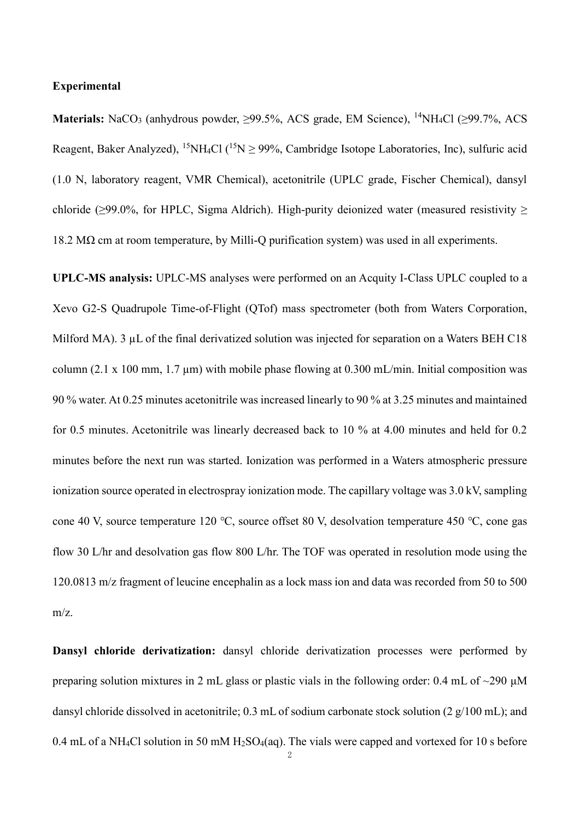## **Experimental**

**Materials:** NaCO<sub>3</sub> (anhydrous powder, >99.5%, ACS grade, EM Science), <sup>14</sup>NH<sub>4</sub>Cl (>99.7%, ACS Reagent, Baker Analyzed), <sup>15</sup>NH<sub>4</sub>Cl (<sup>15</sup>N  $\geq$  99%, Cambridge Isotope Laboratories, Inc), sulfuric acid (1.0 N, laboratory reagent, VMR Chemical), acetonitrile (UPLC grade, Fischer Chemical), dansyl chloride ( $\geq$ 99.0%, for HPLC, Sigma Aldrich). High-purity deionized water (measured resistivity  $\geq$ 18.2 MΩ cm at room temperature, by Milli-Q purification system) was used in all experiments.

**UPLC-MS analysis:** UPLC-MS analyses were performed on an Acquity I-Class UPLC coupled to a Xevo G2-S Quadrupole Time-of-Flight (QTof) mass spectrometer (both from Waters Corporation, Milford MA). 3 µL of the final derivatized solution was injected for separation on a Waters BEH C18 column (2.1 x 100 mm, 1.7  $\mu$ m) with mobile phase flowing at 0.300 mL/min. Initial composition was 90 % water. At 0.25 minutes acetonitrile was increased linearly to 90 % at 3.25 minutes and maintained for 0.5 minutes. Acetonitrile was linearly decreased back to 10 % at 4.00 minutes and held for 0.2 minutes before the next run was started. Ionization was performed in a Waters atmospheric pressure ionization source operated in electrospray ionization mode. The capillary voltage was 3.0 kV, sampling cone 40 V, source temperature 120 ℃, source offset 80 V, desolvation temperature 450 ℃, cone gas flow 30 L/hr and desolvation gas flow 800 L/hr. The TOF was operated in resolution mode using the 120.0813 m/z fragment of leucine encephalin as a lock mass ion and data was recorded from 50 to 500 m/z.

**Dansyl chloride derivatization:** dansyl chloride derivatization processes were performed by preparing solution mixtures in 2 mL glass or plastic vials in the following order: 0.4 mL of  $\sim$ 290  $\mu$ M dansyl chloride dissolved in acetonitrile; 0.3 mL of sodium carbonate stock solution (2 g/100 mL); and 0.4 mL of a NH<sub>4</sub>Cl solution in 50 mM H<sub>2</sub>SO<sub>4</sub>(aq). The vials were capped and vortexed for 10 s before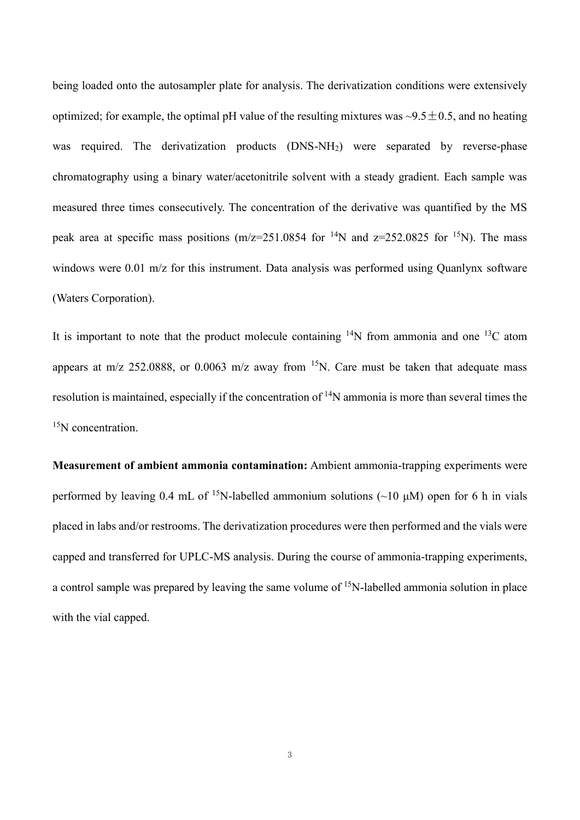being loaded onto the autosampler plate for analysis. The derivatization conditions were extensively optimized; for example, the optimal pH value of the resulting mixtures was  $\sim 9.5 \pm 0.5$ , and no heating was required. The derivatization products (DNS-NH<sub>2</sub>) were separated by reverse-phase chromatography using a binary water/acetonitrile solvent with a steady gradient. Each sample was measured three times consecutively. The concentration of the derivative was quantified by the MS peak area at specific mass positions (m/z=251.0854 for <sup>14</sup>N and z=252.0825 for <sup>15</sup>N). The mass windows were 0.01 m/z for this instrument. Data analysis was performed using Ouanlynx software (Waters Corporation).

It is important to note that the product molecule containing  $14N$  from ammonia and one  $13C$  atom appears at m/z 252.0888, or 0.0063 m/z away from  $^{15}N$ . Care must be taken that adequate mass resolution is maintained, especially if the concentration of <sup>14</sup>N ammonia is more than several times the <sup>15</sup>N concentration.

**Measurement of ambient ammonia contamination:** Ambient ammonia-trapping experiments were performed by leaving 0.4 mL of <sup>15</sup>N-labelled ammonium solutions (~10  $\mu$ M) open for 6 h in vials placed in labs and/or restrooms. The derivatization procedures were then performed and the vials were capped and transferred for UPLC-MS analysis. During the course of ammonia-trapping experiments, a control sample was prepared by leaving the same volume of <sup>15</sup>N-labelled ammonia solution in place with the vial capped.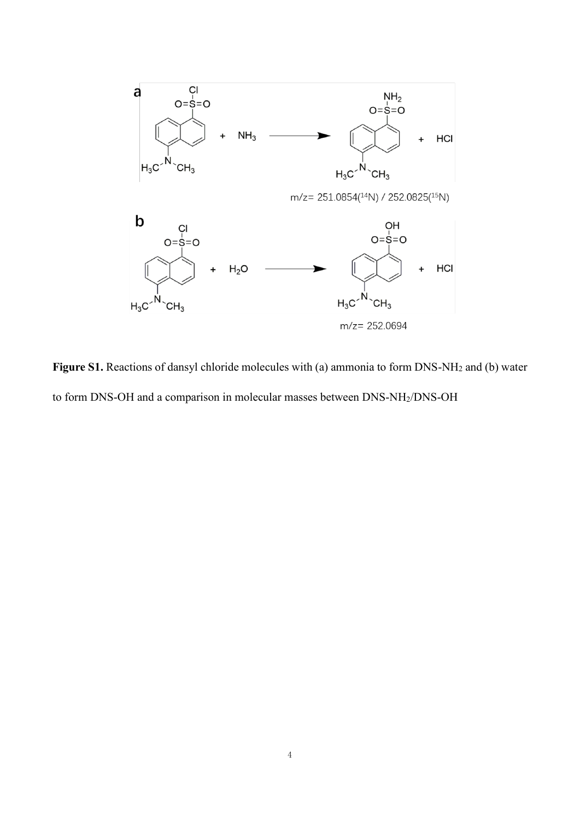

**Figure S1.** Reactions of dansyl chloride molecules with (a) ammonia to form DNS-NH<sup>2</sup> and (b) water to form DNS-OH and a comparison in molecular masses between DNS-NH2/DNS-OH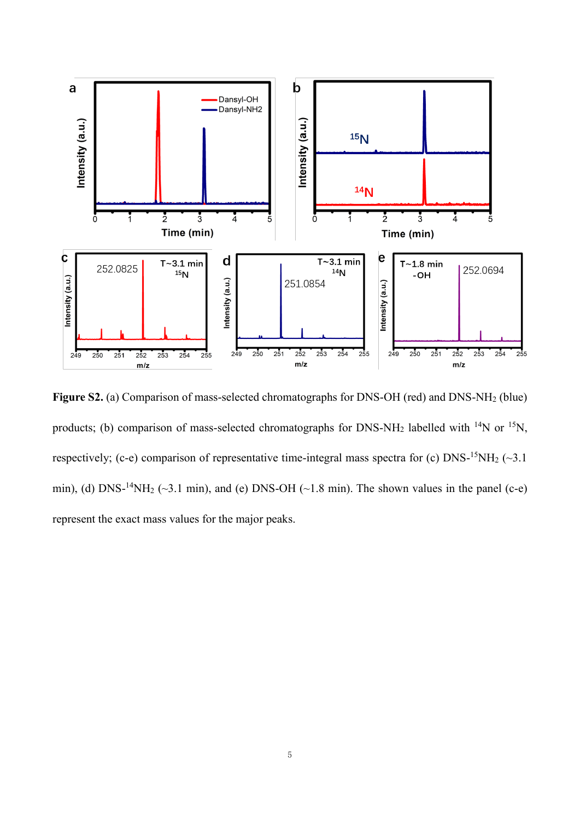

**Figure S2.** (a) Comparison of mass-selected chromatographs for DNS-OH (red) and DNS-NH<sup>2</sup> (blue) products; (b) comparison of mass-selected chromatographs for DNS-NH<sub>2</sub> labelled with <sup>14</sup>N or <sup>15</sup>N, respectively; (c-e) comparison of representative time-integral mass spectra for (c)  $DNS-15NH_2 \left(-3.1\right)$ min), (d) DNS-<sup>14</sup>NH<sub>2</sub> ( $\sim$ 3.1 min), and (e) DNS-OH ( $\sim$ 1.8 min). The shown values in the panel (c-e) represent the exact mass values for the major peaks.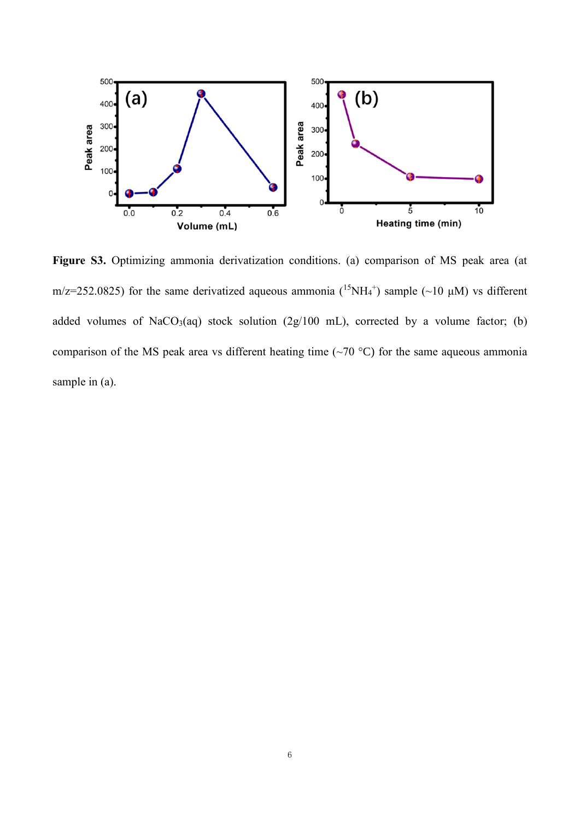

**Figure S3.** Optimizing ammonia derivatization conditions. (a) comparison of MS peak area (at m/z=252.0825) for the same derivatized aqueous ammonia  $(^{15}NH_4^+)$  sample  $(\sim 10 \mu M)$  vs different added volumes of NaCO<sub>3</sub>(aq) stock solution (2g/100 mL), corrected by a volume factor; (b) comparison of the MS peak area vs different heating time ( $\sim$ 70 °C) for the same aqueous ammonia sample in (a).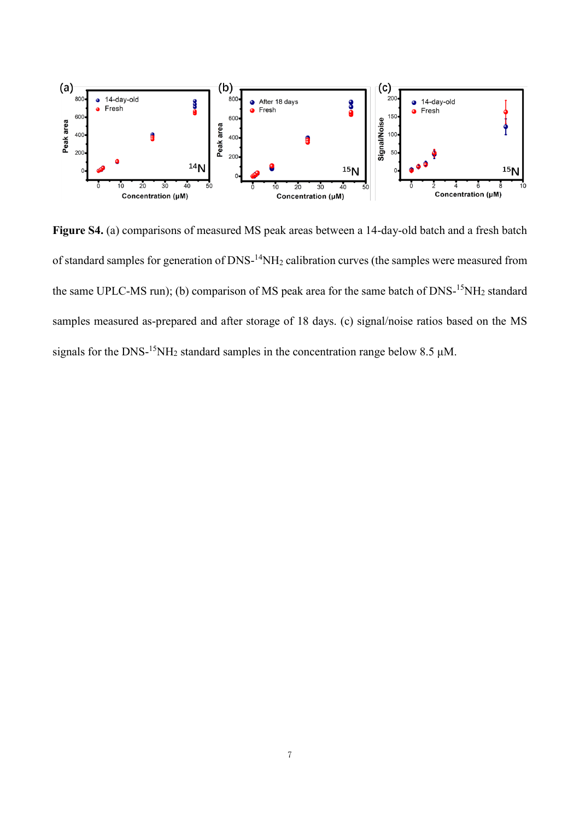

**Figure S4.** (a) comparisons of measured MS peak areas between a 14-day-old batch and a fresh batch of standard samples for generation of DNS-<sup>14</sup>NH<sub>2</sub> calibration curves (the samples were measured from the same UPLC-MS run); (b) comparison of MS peak area for the same batch of DNS-<sup>15</sup>NH<sub>2</sub> standard samples measured as-prepared and after storage of 18 days. (c) signal/noise ratios based on the MS signals for the DNS-<sup>15</sup>NH<sub>2</sub> standard samples in the concentration range below 8.5  $\mu$ M.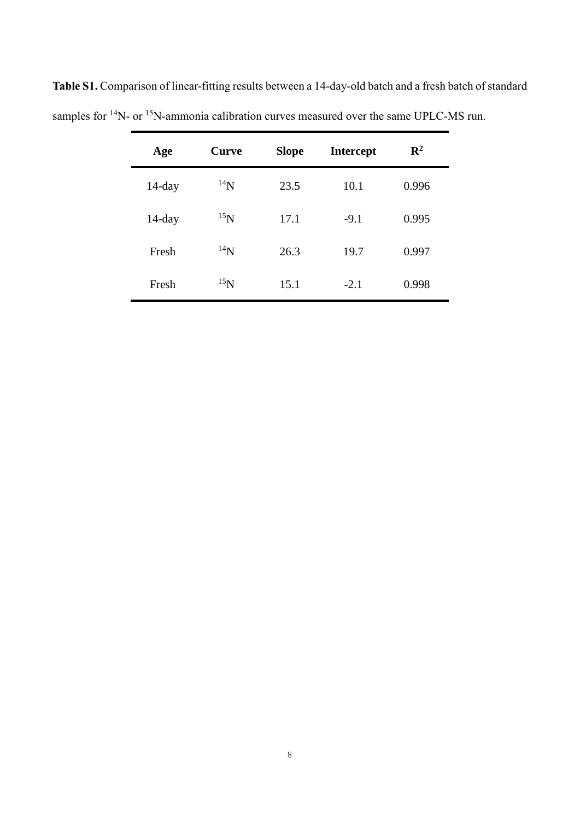| Age       | Curve    | <b>Slope</b> | <b>Intercept</b> | $\mathbb{R}^2$ |
|-----------|----------|--------------|------------------|----------------|
| $14$ -day | $^{14}N$ | 23.5         | 10.1             | 0.996          |
| $14$ -day | $^{15}N$ | 17.1         | $-9.1$           | 0.995          |
| Fresh     | $^{14}N$ | 26.3         | 19.7             | 0.997          |
| Fresh     | $^{15}N$ | 15.1         | $-2.1$           | 0.998          |

**Table S1.** Comparison of linear-fitting results between a 14-day-old batch and a fresh batch of standard samples for <sup>14</sup>N- or <sup>15</sup>N-ammonia calibration curves measured over the same UPLC-MS run.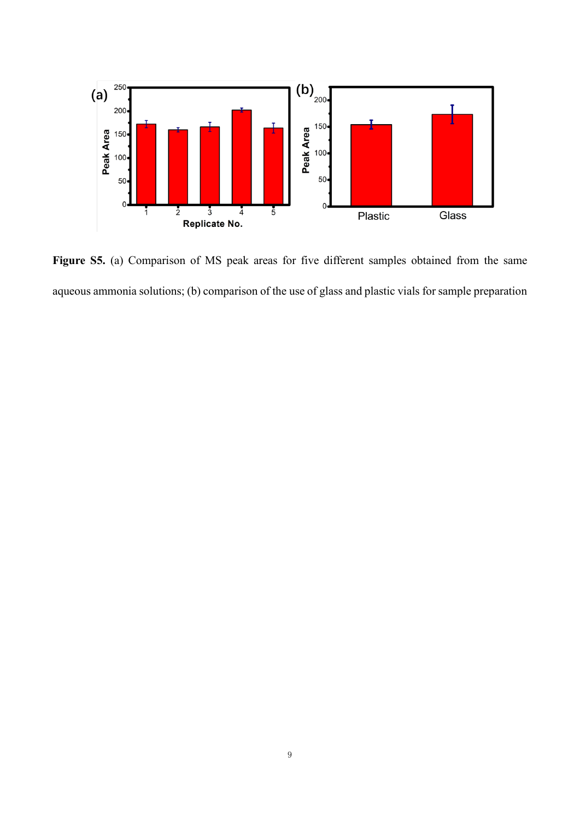

**Figure S5.** (a) Comparison of MS peak areas for five different samples obtained from the same aqueous ammonia solutions; (b) comparison of the use of glass and plastic vials for sample preparation